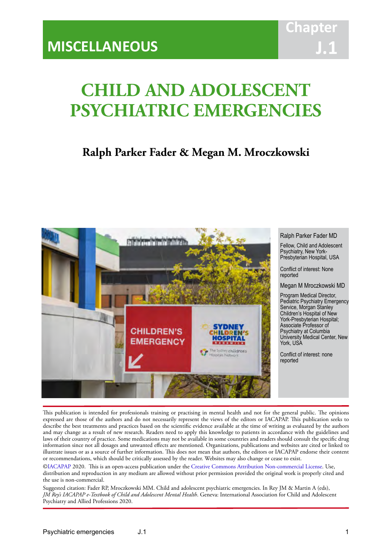# **CHILD AND ADOLESCENT PSYCHIATRIC EMERGENCIES**

IACAPAP Textbook of Child and Adolescent Mental Health

# **Ralph Parker Fader & Megan M. Mroczkowski**



This publication is intended for professionals training or practising in mental health and not for the general public. The opinions expressed are those of the authors and do not necessarily represent the views of the editors or IACAPAP. This publication seeks to describe the best treatments and practices based on the scientific evidence available at the time of writing as evaluated by the authors and may change as a result of new research. Readers need to apply this knowledge to patients in accordance with the guidelines and laws of their country of practice. Some medications may not be available in some countries and readers should consult the specific drug information since not all dosages and unwanted effects are mentioned. Organizations, publications and websites are cited or linked to illustrate issues or as a source of further information. This does not mean that authors, the editors or IACAPAP endorse their content or recommendations, which should be critically assessed by the reader. Websites may also change or cease to exist.

[©IACAPAP](http://iacapap.org/) 2020. This is an open-access publication under the [Creative Commons Attribution Non-commercial License](http://creativecommons.org/licenses/by-nc/2.0/). Use, distribution and reproduction in any medium are allowed without prior permission provided the original work is properly cited and the use is non-commercial.

Suggested citation: Fader RP, Mroczkowski MM. Child and adolescent psychiatric emergencies. In Rey JM & Martin A (eds), *JM Rey's IACAPAP e-Textbook of Child and Adolescent Mental Health*. Geneva: International Association for Child and Adolescent Psychiatry and Allied Professions 2020.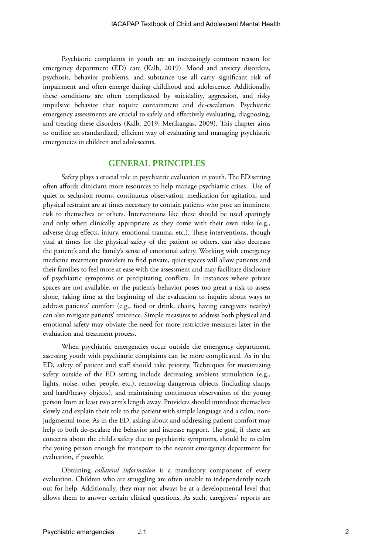Psychiatric complaints in youth are an increasingly common reason for emergency department (ED) care (Kalb, 2019). Mood and anxiety disorders, psychosis, behavior problems, and substance use all carry significant risk of impairment and often emerge during childhood and adolescence. Additionally, these conditions are often complicated by suicidality, aggression, and risky impulsive behavior that require containment and de-escalation. Psychiatric emergency assessments are crucial to safely and effectively evaluating, diagnosing, and treating these disorders (Kalb, 2019; Merikangas, 2009). This chapter aims to outline an standardized, efficient way of evaluating and managing psychiatric emergencies in children and adolescents.

#### **GENERAL PRINCIPLES**

Safety plays a crucial role in psychiatric evaluation in youth. The ED setting often affords clinicians more resources to help manage psychiatric crises. Use of quiet or seclusion rooms, continuous observation, medication for agitation, and physical restraint are at times necessary to contain patients who pose an imminent risk to themselves or others. Interventions like these should be used sparingly and only when clinically appropriate as they come with their own risks (e.g., adverse drug effects, injury, emotional trauma, etc.). These interventions, though vital at times for the physical safety of the patient or others, can also decrease the patient's and the family's sense of emotional safety. Working with emergency medicine treatment providers to find private, quiet spaces will allow patients and their families to feel more at ease with the assessment and may facilitate disclosure of psychiatric symptoms or precipitating conflicts. In instances where private spaces are not available, or the patient's behavior poses too great a risk to assess alone, taking time at the beginning of the evaluation to inquire about ways to address patients' comfort (e.g., food or drink, chairs, having caregivers nearby) can also mitigate patients' reticence. Simple measures to address both physical and emotional safety may obviate the need for more restrictive measures later in the evaluation and treatment process.

When psychiatric emergencies occur outside the emergency department, assessing youth with psychiatric complaints can be more complicated. As in the ED, safety of patient and staff should take priority. Techniques for maximizing safety outside of the ED setting include decreasing ambient stimulation (e.g., lights, noise, other people, etc.), removing dangerous objects (including sharps and hard/heavy objects), and maintaining continuous observation of the young person from at least two arm's length away. Providers should introduce themselves slowly and explain their role to the patient with simple language and a calm, nonjudgmental tone. As in the ED, asking about and addressing patient comfort may help to both de-escalate the behavior and increase rapport. The goal, if there are concerns about the child's safety due to psychiatric symptoms, should be to calm the young person enough for transport to the nearest emergency department for evaluation, if possible.

Obtaining *collateral information* is a mandatory component of every evaluation. Children who are struggling are often unable to independently reach out for help. Additionally, they may not always be at a developmental level that allows them to answer certain clinical questions. As such, caregivers' reports are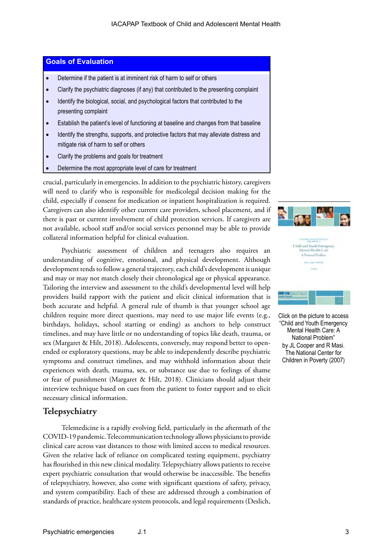### **Goals of Evaluation**

- Determine if the patient is at imminent risk of harm to self or others
- Clarify the psychiatric diagnoses (if any) that contributed to the presenting complaint
- Identify the biological, social, and psychological factors that contributed to the presenting complaint
- Establish the patient's level of functioning at baseline and changes from that baseline
- Identify the strengths, supports, and protective factors that may alleviate distress and mitigate risk of harm to self or others
- Clarify the problems and goals for treatment
- Determine the most appropriate level of care for treatment

crucial, particularly in emergencies. In addition to the psychiatric history, caregivers will need to clarify who is responsible for medicolegal decision making for the child, especially if consent for medication or inpatient hospitalization is required. Caregivers can also identify other current care providers, school placement, and if there is past or current involvement of child protection services. If caregivers are not available, school staff and/or social services personnel may be able to provide collateral information helpful for clinical evaluation.

Psychiatric assessment of children and teenagers also requires an understanding of cognitive, emotional, and physical development. Although development tends to follow a general trajectory, each child's development is unique and may or may not match closely their chronological age or physical appearance. Tailoring the interview and assessment to the child's developmental level will help providers build rapport with the patient and elicit clinical information that is both accurate and helpful. A general rule of thumb is that younger school age children require more direct questions, may need to use major life events (e.g., birthdays, holidays, school starting or ending) as anchors to help construct timelines, and may have little or no understanding of topics like death, trauma, or sex (Margaret & Hilt, 2018). Adolescents, conversely, may respond better to openended or exploratory questions, may be able to independently describe psychiatric symptoms and construct timelines, and may withhold information about their experiences with death, trauma, sex, or substance use due to feelings of shame or fear of punishment (Margaret & Hilt, 2018). Clinicians should adjust their interview technique based on cues from the patient to foster rapport and to elicit necessary clinical information.

### **Telepsychiatry**

Telemedicine is a rapidly evolving field, particularly in the aftermath of the COVID-19 pandemic. Telecommunication technology allows physicians to provide clinical care across vast distances to those with limited access to medical resources. Given the relative lack of reliance on complicated testing equipment, psychiatry has flourished in this new clinical modality. Telepsychiatry allows patients to receive expert psychiatric consultation that would otherwise be inaccessible. The benefits of telepsychiatry, however, also come with significant questions of safety, privacy, and system compatibility. Each of these are addressed through a combination of standards of practice, healthcare system protocols, and legal requirements (Deslich,



Click on the picture to access "Child and Youth Emergency Mental Health Care: A National Problem" by JL Cooper and R Masi. The National Center for Children in Poverty (2007)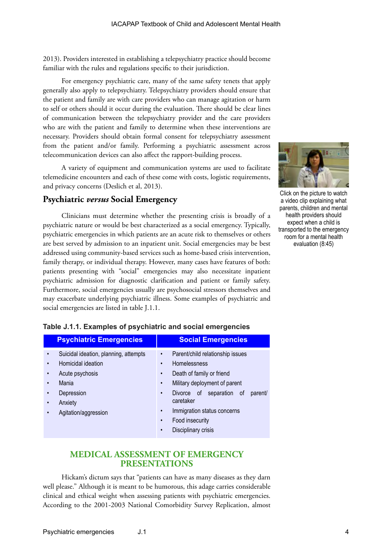2013). Providers interested in establishing a telepsychiatry practice should become familiar with the rules and regulations specific to their jurisdiction.

For emergency psychiatric care, many of the same safety tenets that apply generally also apply to telepsychiatry. Telepsychiatry providers should ensure that the patient and family are with care providers who can manage agitation or harm to self or others should it occur during the evaluation. There should be clear lines of communication between the telepsychiatry provider and the care providers who are with the patient and family to determine when these interventions are necessary. Providers should obtain formal consent for telepsychiatry assessment from the patient and/or family. Performing a psychiatric assessment across telecommunication devices can also affect the rapport-building process.

A variety of equipment and communication systems are used to facilitate telemedicine encounters and each of these come with costs, logistic requirements, and privacy concerns (Deslich et al, 2013).

### **Psychiatric** *versus* **Social Emergency**

Clinicians must determine whether the presenting crisis is broadly of a psychiatric nature or would be best characterized as a social emergency. Typically, psychiatric emergencies in which patients are an acute risk to themselves or others are best served by admission to an inpatient unit. Social emergencies may be best addressed using community-based services such as home-based crisis intervention, family therapy, or individual therapy. However, many cases have features of both: patients presenting with "social" emergencies may also necessitate inpatient psychiatric admission for diagnostic clarification and patient or family safety. Furthermore, social emergencies usually are psychosocial stressors themselves and may exacerbate underlying psychiatric illness. Some examples of psychiatric and social emergencies are listed in table J.1.1.



Click on the picture to watch a video clip explaining what parents, children and mental health providers should expect when a child is transported to the emergency room for a mental health evaluation (8:45)

| <b>Psychiatric Emergencies</b>                                                                                                           | <b>Social Emergencies</b>                                                                                                                                                                                                                                                                                                                           |
|------------------------------------------------------------------------------------------------------------------------------------------|-----------------------------------------------------------------------------------------------------------------------------------------------------------------------------------------------------------------------------------------------------------------------------------------------------------------------------------------------------|
| Suicidal ideation, planning, attempts<br>Homicidal ideation<br>Acute psychosis<br>Mania<br>Depression<br>Anxiety<br>Agitation/aggression | Parent/child relationship issues<br>$\bullet$<br>Homelessness<br>$\bullet$<br>Death of family or friend<br>$\bullet$<br>Military deployment of parent<br>$\bullet$<br>Divorce of separation of<br>parent/<br>$\bullet$<br>caretaker<br>Immigration status concerns<br>$\bullet$<br>Food insecurity<br>$\bullet$<br>Disciplinary crisis<br>$\bullet$ |

#### **Table J.1.1. Examples of psychiatric and social emergencies**

### **MEDICAL ASSESSMENT OF EMERGENCY PRESENTATIONS**

Hickam's dictum says that "patients can have as many diseases as they darn well please." Although it is meant to be humorous, this adage carries considerable clinical and ethical weight when assessing patients with psychiatric emergencies. According to the 2001-2003 National Comorbidity Survey Replication, almost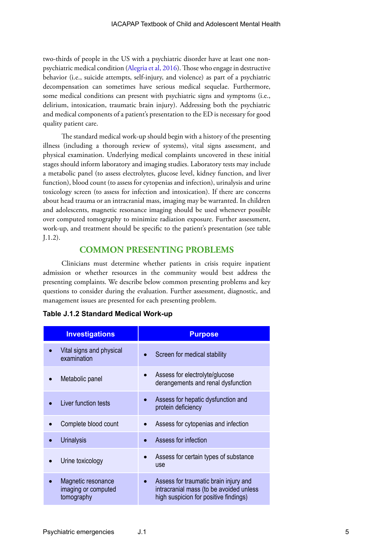two-thirds of people in the US with a psychiatric disorder have at least one nonpsychiatric medical condition ([Alegria et al, 2016\)](https://www.icpsr.umich.edu/web/ICPSR/studies/20240). Those who engage in destructive behavior (i.e., suicide attempts, self-injury, and violence) as part of a psychiatric decompensation can sometimes have serious medical sequelae. Furthermore, some medical conditions can present with psychiatric signs and symptoms (i.e., delirium, intoxication, traumatic brain injury). Addressing both the psychiatric and medical components of a patient's presentation to the ED is necessary for good quality patient care.

The standard medical work-up should begin with a history of the presenting illness (including a thorough review of systems), vital signs assessment, and physical examination. Underlying medical complaints uncovered in these initial stages should inform laboratory and imaging studies. Laboratory tests may include a metabolic panel (to assess electrolytes, glucose level, kidney function, and liver function), blood count (to assess for cytopenias and infection), urinalysis and urine toxicology screen (to assess for infection and intoxication). If there are concerns about head trauma or an intracranial mass, imaging may be warranted. In children and adolescents, magnetic resonance imaging should be used whenever possible over computed tomography to minimize radiation exposure. Further assessment, work-up, and treatment should be specific to the patient's presentation (see table J.1.2).

### **COMMON PRESENTING PROBLEMS**

Clinicians must determine whether patients in crisis require inpatient admission or whether resources in the community would best address the presenting complaints. We describe below common presenting problems and key questions to consider during the evaluation. Further assessment, diagnostic, and management issues are presented for each presenting problem.

| <b>Investigations</b>                   | <b>Purpose</b>               |
|-----------------------------------------|------------------------------|
| Vital signs and physical<br>examination | Screen for medical stability |

**Table J.1.2 Standard Medical Work-up**

| Assess for electrolyte/glucose<br>$\bullet$<br>derangements and renal dysfunction                                                      |
|----------------------------------------------------------------------------------------------------------------------------------------|
| Assess for hepatic dysfunction and<br>protein deficiency                                                                               |
| Assess for cytopenias and infection<br>$\bullet$                                                                                       |
| Assess for infection                                                                                                                   |
| Assess for certain types of substance<br>use                                                                                           |
| Assess for traumatic brain injury and<br>$\bullet$<br>intracranial mass (to be avoided unless<br>high suspicion for positive findings) |
|                                                                                                                                        |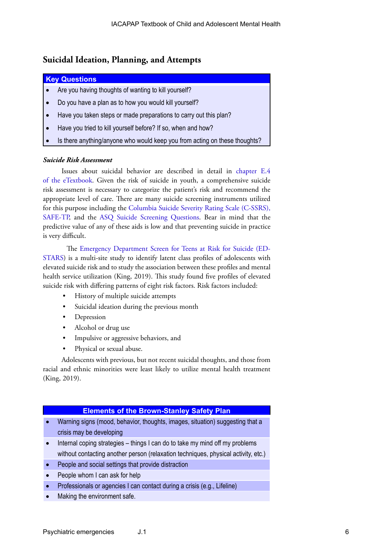### **Suicidal Ideation, Planning, and Attempts**

#### **Key Questions**

- Are you having thoughts of wanting to kill yourself?
- Do you have a plan as to how you would kill yourself?
- Have you taken steps or made preparations to carry out this plan?
- Have you tried to kill yourself before? If so, when and how?
- Is there anything/anyone who would keep you from acting on these thoughts?

#### *Suicide Risk Assessment*

Issues about suicidal behavior are described in detail in [chapter E.4](https://iacapap.org/content/uploads/E.4-Suicide-update-2018.pdf)  [of the eTextbook](https://iacapap.org/content/uploads/E.4-Suicide-update-2018.pdf). Given the risk of suicide in youth, a comprehensive suicide risk assessment is necessary to categorize the patient's risk and recommend the appropriate level of care. There are many suicide screening instruments utilized for this purpose including the [Columbia Suicide Severity Rating Scale \(C-SSRS\),](https://cssrs.columbia.edu/wp-content/uploads/C-SSRS_Pediatric-SLC_11.14.16.pdf) [SAFE-TP,](D://Users/jmrey/Downloads/sma09-4432.pdf) and the [ASQ Suicide Screening Questions.](https://www.nimh.nih.gov/research/research-conducted-at-nimh/asq-toolkit-materials/index.shtml) Bear in mind that the predictive value of any of these aids is low and that preventing suicide in practice is very difficult.

The [Emergency Department Screen for Teens at Risk for Suicide \(ED-](https://projectreporter.nih.gov/project_info_description.cfm?aid=8755416&icde=21651658&ddparam=&ddvalue=&ddsub=&cr=3&csb=default&cs=ASC)[STARS](https://projectreporter.nih.gov/project_info_description.cfm?aid=8755416&icde=21651658&ddparam=&ddvalue=&ddsub=&cr=3&csb=default&cs=ASC)) is a multi-site study to identify latent class profiles of adolescents with elevated suicide risk and to study the association between these profiles and mental health service utilization (King, 2019). This study found five profiles of elevated suicide risk with differing patterns of eight risk factors. Risk factors included:

- History of multiple suicide attempts
- Suicidal ideation during the previous month
- Depression
- Alcohol or drug use
- Impulsive or aggressive behaviors, and
- Physical or sexual abuse.

Adolescents with previous, but not recent suicidal thoughts, and those from racial and ethnic minorities were least likely to utilize mental health treatment (King, 2019).

#### **Elements of the Brown-Stanley Safety Plan**

- Warning signs (mood, behavior, thoughts, images, situation) suggesting that a crisis may be developing
- Internal coping strategies  $-$  things I can do to take my mind off my problems without contacting another person (relaxation techniques, physical activity, etc.)
- People and social settings that provide distraction
- People whom I can ask for help
- **Professionals or agencies I can contact during a crisis (e.g., Lifeline)**
- Making the environment safe.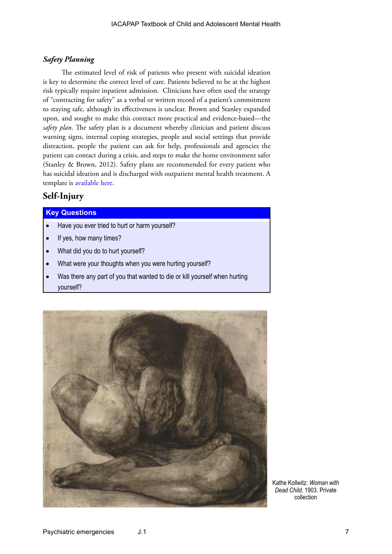#### *Safety Planning*

The estimated level of risk of patients who present with suicidal ideation is key to determine the correct level of care. Patients believed to be at the highest risk typically require inpatient admission. Clinicians have often used the strategy of "contracting for safety" as a verbal or written record of a patient's commitment to staying safe, although its effectiveness is unclear. Brown and Stanley expanded upon, and sought to make this contract more practical and evidence-based—the *safety plan*. The safety plan is a document whereby clinician and patient discuss warning signs, internal coping strategies, people and social settings that provide distraction, people the patient can ask for help, professionals and agencies the patient can contact during a crisis, and steps to make the home environment safer (Stanley & Brown, 2012). Safety plans are recommended for every patient who has suicidal ideation and is discharged with outpatient mental health treatment. A template is [available here.](https://suicidepreventionlifeline.org/wp-content/uploads/2016/08/Brown_StanleySafetyPlanTemplate.pdf)

### **Self-Injury**

#### **Key Questions**

- Have you ever tried to hurt or harm yourself?
- If yes, how many times?
- What did you do to hurt yourself?
- What were your thoughts when you were hurting yourself?
- Was there any part of you that wanted to die or kill yourself when hurting yourself?



Kathe Kollwitz: *Woman with Dead Child,* 1903. Private collection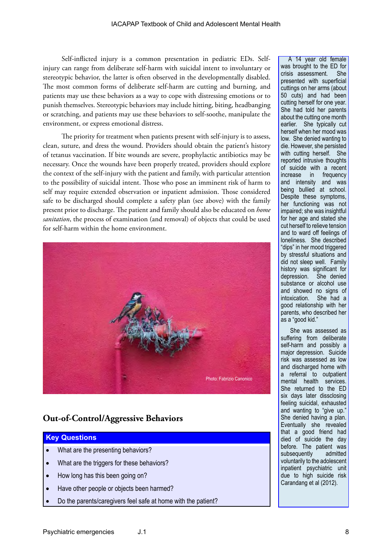Self-inflicted injury is a common presentation in pediatric EDs. Selfinjury can range from deliberate self-harm with suicidal intent to involuntary or stereotypic behavior, the latter is often observed in the developmentally disabled. The most common forms of deliberate self-harm are cutting and burning, and patients may use these behaviors as a way to cope with distressing emotions or to punish themselves. Stereotypic behaviors may include hitting, biting, headbanging or scratching, and patients may use these behaviors to self-soothe, manipulate the environment, or express emotional distress.

The priority for treatment when patients present with self-injury is to assess, clean, suture, and dress the wound. Providers should obtain the patient's history of tetanus vaccination. If bite wounds are severe, prophylactic antibiotics may be necessary. Once the wounds have been properly treated, providers should explore the context of the self-injury with the patient and family, with particular attention to the possibility of suicidal intent. Those who pose an imminent risk of harm to self may require extended observation or inpatient admission. Those considered safe to be discharged should complete a safety plan (see above) with the family present prior to discharge. The patient and family should also be educated on *home sanitation*, the process of examination (and removal) of objects that could be used for self-harm within the home environment.



### **Out-of-Control/Aggressive Behaviors**

#### **Key Questions**

- What are the presenting behaviors?
- What are the triggers for these behaviors?
- How long has this been going on?
- Have other people or objects been harmed?
- Do the parents/caregivers feel safe at home with the patient?

A 14 year old female was brought to the ED for crisis assessment. She presented with superficial cuttings on her arms (about 50 cuts) and had been cutting herself for one year. She had told her parents about the cutting one month earlier. She typically cut herself when her mood was low. She denied wanting to die. However, she persisted with cutting herself. She reported intrusive thoughts of suicide with a recent increase in frequency and intensity and was being bullied at school. Despite these symptoms, her functioning was not impaired; she was insightful for her age and stated she cut herself to relieve tension and to ward off feelings of loneliness. She described "dips" in her mood triggered by stressful situations and did not sleep well. Family history was significant for depression. She denied substance or alcohol use and showed no signs of intoxication. She had a good relationship with her parents, who described her as a "good kid."

She was assessed as suffering from deliberate self-harm and possibly a major depression. Suicide risk was assessed as low and discharged home with a referral to outpatient mental health services. She returned to the ED six days later dissclosing feeling suicidal, exhausted and wanting to "give up." She denied having a plan. Eventually she revealed that a good friend had died of suicide the day before. The patient was subsequently admitted voluntarily to the adolescent inpatient psychiatric unit due to high suicide risk Carandang et al (2012).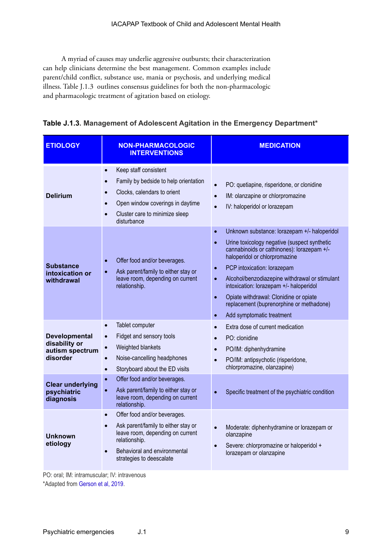A myriad of causes may underlie aggressive outbursts; their characterization can help clinicians determine the best management. Common examples include parent/child conflict, substance use, mania or psychosis, and underlying medical illness. Table J.1.3 outlines consensus guidelines for both the non-pharmacologic and pharmacologic treatment of agitation based on etiology.

| <b>ETIOLOGY</b>                                                                                                             | <b>NON-PHARMACOLOGIC</b><br><b>INTERVENTIONS</b>                                                                                                                                                                                                                                                                                        | <b>MEDICATION</b>                                                                                                                                                                                                                                                                                                                                                                                                                                                                                        |  |
|-----------------------------------------------------------------------------------------------------------------------------|-----------------------------------------------------------------------------------------------------------------------------------------------------------------------------------------------------------------------------------------------------------------------------------------------------------------------------------------|----------------------------------------------------------------------------------------------------------------------------------------------------------------------------------------------------------------------------------------------------------------------------------------------------------------------------------------------------------------------------------------------------------------------------------------------------------------------------------------------------------|--|
| <b>Delirium</b>                                                                                                             | Keep staff consistent<br>$\bullet$<br>Family by bedside to help orientation<br>$\bullet$<br>Clocks, calendars to orient<br>$\bullet$<br>Open window coverings in daytime<br>$\bullet$<br>Cluster care to minimize sleep<br>$\bullet$<br>disturbance                                                                                     | PO: quetiapine, risperidone, or clonidine<br>IM: olanzapine or chlorpromazine<br>$\bullet$<br>IV: haloperidol or lorazepam<br>$\bullet$                                                                                                                                                                                                                                                                                                                                                                  |  |
| <b>Substance</b><br>intoxication or<br>withdrawal                                                                           | Offer food and/or beverages.<br>$\bullet$<br>Ask parent/family to either stay or<br>$\bullet$<br>leave room, depending on current<br>relationship.                                                                                                                                                                                      | Unknown substance: lorazepam +/- haloperidol<br>$\bullet$<br>Urine toxicology negative (suspect synthetic<br>$\bullet$<br>cannabinoids or cathinones): lorazepam +/-<br>haloperidol or chlorpromazine<br>PCP intoxication: lorazepam<br>$\bullet$<br>Alcohol/benzodiazepine withdrawal or stimulant<br>$\bullet$<br>intoxication: lorazepam +/- haloperidol<br>Opiate withdrawal: Clonidine or opiate<br>$\bullet$<br>replacement (buprenorphine or methadone)<br>Add symptomatic treatment<br>$\bullet$ |  |
| <b>Developmental</b><br>disability or<br>autism spectrum<br>disorder<br><b>Clear underlying</b><br>psychiatric<br>diagnosis | Tablet computer<br>$\bullet$<br>Fidget and sensory tools<br>$\bullet$<br>Weighted blankets<br>$\bullet$<br>Noise-cancelling headphones<br>$\bullet$<br>Storyboard about the ED visits<br>$\bullet$<br>Offer food and/or beverages.<br>$\bullet$<br>Ask parent/family to either stay or<br>$\bullet$<br>leave room, depending on current | Extra dose of current medication<br>$\bullet$<br>PO: clonidine<br>PO/IM: diphenhydramine<br>$\bullet$<br>PO/IM: antipsychotic (risperidone,<br>$\bullet$<br>chlorpromazine, olanzapine)<br>Specific treatment of the psychiatric condition<br>$\bullet$                                                                                                                                                                                                                                                  |  |
| <b>Unknown</b><br>etiology                                                                                                  | relationship.<br>Offer food and/or beverages.<br>$\bullet$<br>Ask parent/family to either stay or<br>$\bullet$<br>leave room, depending on current<br>relationship.<br>Behavioral and environmental<br>$\bullet$<br>strategies to deescalate                                                                                            | Moderate: diphenhydramine or lorazepam or<br>$\bullet$<br>olanzapine<br>Severe: chlorpromazine or haloperidol +<br>lorazepam or olanzapine                                                                                                                                                                                                                                                                                                                                                               |  |

| Table J.1.3. Management of Adolescent Agitation in the Emergency Department* |  |  |
|------------------------------------------------------------------------------|--|--|
|------------------------------------------------------------------------------|--|--|

PO: oral; IM: intramuscular; IV: intravenous

\*Adapted from [Gerson et al, 2019](https://www.ncbi.nlm.nih.gov/pmc/articles/PMC6404720/).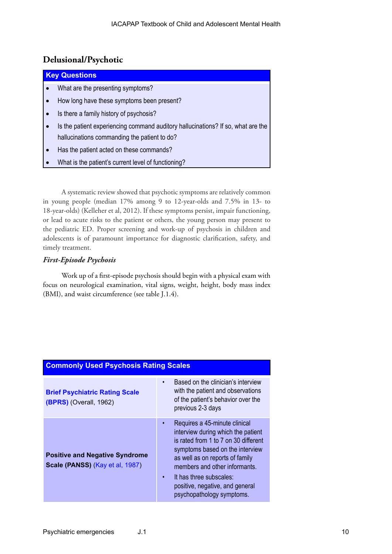### **Delusional/Psychotic**

| <b>Key Questions</b> |                                                                                  |  |  |  |
|----------------------|----------------------------------------------------------------------------------|--|--|--|
| ∣•                   | What are the presenting symptoms?                                                |  |  |  |
| ۰.                   | How long have these symptoms been present?                                       |  |  |  |
| ه ا                  | Is there a family history of psychosis?                                          |  |  |  |
| ه ا                  | Is the patient experiencing command auditory hallucinations? If so, what are the |  |  |  |
|                      | hallucinations commanding the patient to do?                                     |  |  |  |
| <b>م</b> ا           | Has the patient acted on these commands?                                         |  |  |  |
|                      | What is the patient's current level of functioning?                              |  |  |  |

A systematic review showed that psychotic symptoms are relatively common in young people (median 17% among 9 to 12-year-olds and 7.5% in 13- to 18-year-olds) (Kelleher et al, 2012). If these symptoms persist, impair functioning, or lead to acute risks to the patient or others, the young person may present to the pediatric ED. Proper screening and work-up of psychosis in children and adolescents is of paramount importance for diagnostic clarification, safety, and timely treatment.

### *First-Episode Psychosis*

Work up of a first-episode psychosis should begin with a physical exam with focus on neurological examination, vital signs, weight, height, body mass index (BMI), and waist circumference (see table J.1.4).

| <b>Commonly Used Psychosis Rating Scales</b>                             |                                                                                                                                                                                                                                                                                                                                         |  |  |
|--------------------------------------------------------------------------|-----------------------------------------------------------------------------------------------------------------------------------------------------------------------------------------------------------------------------------------------------------------------------------------------------------------------------------------|--|--|
| <b>Brief Psychiatric Rating Scale</b><br>$(BPRS)$ (Overall, 1962)        | Based on the clinician's interview<br>$\bullet$<br>with the patient and observations<br>of the patient's behavior over the<br>previous 2-3 days                                                                                                                                                                                         |  |  |
| <b>Positive and Negative Syndrome</b><br>Scale (PANSS) (Kay et al, 1987) | Requires a 45-minute clinical<br>$\bullet$<br>interview during which the patient<br>is rated from 1 to 7 on 30 different<br>symptoms based on the interview<br>as well as on reports of family<br>members and other informants.<br>It has three subscales:<br>$\bullet$<br>positive, negative, and general<br>psychopathology symptoms. |  |  |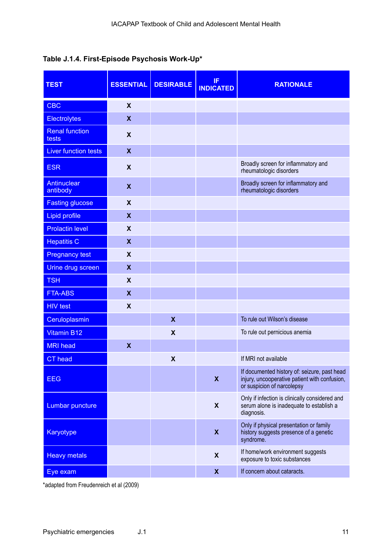### **Table J.1.4. First-Episode Psychosis Work-Up\***

| <b>TEST</b>                    | <b>ESSENTIAL</b>          | <b>DESIRABLE</b>          | IF<br><b>INDICATED</b>    | <b>RATIONALE</b>                                                                                                            |
|--------------------------------|---------------------------|---------------------------|---------------------------|-----------------------------------------------------------------------------------------------------------------------------|
| <b>CBC</b>                     | $\boldsymbol{\mathsf{X}}$ |                           |                           |                                                                                                                             |
| <b>Electrolytes</b>            | $\boldsymbol{X}$          |                           |                           |                                                                                                                             |
| <b>Renal function</b><br>tests | $\boldsymbol{\mathsf{X}}$ |                           |                           |                                                                                                                             |
| <b>Liver function tests</b>    | $\boldsymbol{X}$          |                           |                           |                                                                                                                             |
| <b>ESR</b>                     | $\boldsymbol{\mathsf{X}}$ |                           |                           | Broadly screen for inflammatory and<br>rheumatologic disorders                                                              |
| <b>Antinuclear</b><br>antibody | X                         |                           |                           | Broadly screen for inflammatory and<br>rheumatologic disorders                                                              |
| <b>Fasting glucose</b>         | X                         |                           |                           |                                                                                                                             |
| <b>Lipid profile</b>           | $\boldsymbol{\mathsf{X}}$ |                           |                           |                                                                                                                             |
| <b>Prolactin level</b>         | X                         |                           |                           |                                                                                                                             |
| <b>Hepatitis C</b>             | $\boldsymbol{X}$          |                           |                           |                                                                                                                             |
| <b>Pregnancy test</b>          | $\boldsymbol{\mathsf{X}}$ |                           |                           |                                                                                                                             |
| Urine drug screen              | X                         |                           |                           |                                                                                                                             |
| <b>TSH</b>                     | X                         |                           |                           |                                                                                                                             |
| <b>FTA-ABS</b>                 | $\mathbf x$               |                           |                           |                                                                                                                             |
| <b>HIV</b> test                | $\boldsymbol{\mathsf{X}}$ |                           |                           |                                                                                                                             |
| Ceruloplasmin                  |                           | $\boldsymbol{X}$          |                           | To rule out Wilson's disease                                                                                                |
| <b>Vitamin B12</b>             |                           | $\boldsymbol{\mathsf{X}}$ |                           | To rule out pernicious anemia                                                                                               |
| <b>MRI</b> head                | $\boldsymbol{\mathsf{x}}$ |                           |                           |                                                                                                                             |
| <b>CT</b> head                 |                           | $\boldsymbol{\mathsf{x}}$ |                           | If MRI not available                                                                                                        |
| <b>EEG</b>                     |                           |                           | X                         | If documented history of: seizure, past head<br>injury, uncooperative patient with confusion,<br>or suspicion of narcolepsy |
| Lumbar puncture                |                           |                           | X                         | Only if infection is clinically considered and<br>serum alone is inadequate to establish a<br>diagnosis.                    |
| <b>Karyotype</b>               |                           |                           | $\boldsymbol{\mathsf{X}}$ | Only if physical presentation or family<br>history suggests presence of a genetic<br>syndrome.                              |
| <b>Heavy metals</b>            |                           |                           | X                         | If home/work environment suggests<br>exposure to toxic substances                                                           |
| Eye exam                       |                           |                           | $\boldsymbol{\mathsf{X}}$ | If concern about cataracts.                                                                                                 |

\*adapted from Freudenreich et al (2009)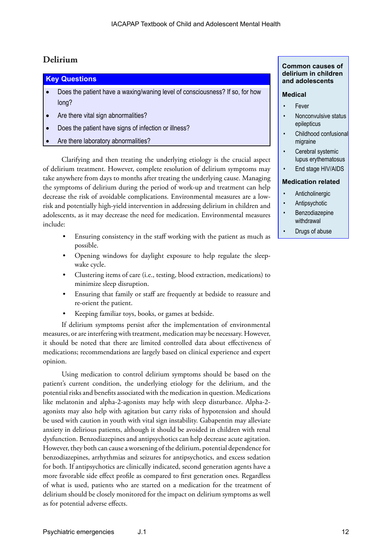### **Delirium**

## **Key Questions** Does the patient have a waxing/waning level of consciousness? If so, for how long? • Are there vital sign abnormalities? Does the patient have signs of infection or illness?

Are there laboratory abnormalities?

Clarifying and then treating the underlying etiology is the crucial aspect of delirium treatment. However, complete resolution of delirium symptoms may take anywhere from days to months after treating the underlying cause. Managing the symptoms of delirium during the period of work-up and treatment can help decrease the risk of avoidable complications. Environmental measures are a lowrisk and potentially high-yield intervention in addressing delirium in children and adolescents, as it may decrease the need for medication. Environmental measures include:

- Ensuring consistency in the staff working with the patient as much as possible.
- Opening windows for daylight exposure to help regulate the sleepwake cycle.
- Clustering items of care (i.e., testing, blood extraction, medications) to minimize sleep disruption.
- Ensuring that family or staff are frequently at bedside to reassure and re-orient the patient.
- Keeping familiar toys, books, or games at bedside.

If delirium symptoms persist after the implementation of environmental measures, or are interfering with treatment, medication may be necessary. However, it should be noted that there are limited controlled data about effectiveness of medications; recommendations are largely based on clinical experience and expert opinion.

Using medication to control delirium symptoms should be based on the patient's current condition, the underlying etiology for the delirium, and the potential risks and benefits associated with the medication in question. Medications like melatonin and alpha-2-agonists may help with sleep disturbance. Alpha-2 agonists may also help with agitation but carry risks of hypotension and should be used with caution in youth with vital sign instability. Gabapentin may alleviate anxiety in delirious patients, although it should be avoided in children with renal dysfunction. Benzodiazepines and antipsychotics can help decrease acute agitation. However, they both can cause a worsening of the delirium, potential dependence for benzodiazepines, arrhythmias and seizures for antipsychotics, and excess sedation for both. If antipsychotics are clinically indicated, second generation agents have a more favorable side effect profile as compared to first generation ones. Regardless of what is used, patients who are started on a medication for the treatment of delirium should be closely monitored for the impact on delirium symptoms as well as for potential adverse effects.

#### **Common causes of delirium in children and adolescents**

#### **Medical**

- **Fever**
- Nonconvulsive status epilepticus
- Childhood confusional migraine
- Cerebral systemic lupus erythematosus
- End stage HIV/AIDS

#### **Medication related**

- **Anticholinergic**
- **Antipsychotic**
- **Benzodiazepine** withdrawal
- Drugs of abuse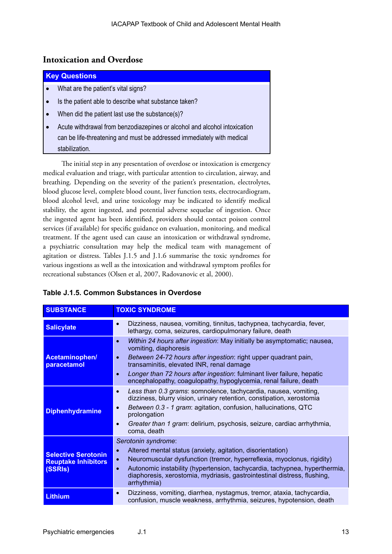### **Intoxication and Overdose**

| <b>Key Questions</b>                                                      |
|---------------------------------------------------------------------------|
| What are the patient's vital signs?                                       |
| Is the patient able to describe what substance taken?                     |
| When did the patient last use the substance(s)?                           |
| Acute withdrawal from benzodiazepines or alcohol and alcohol intoxication |
| can be life-threatening and must be addressed immediately with medical    |
| stabilization.                                                            |

The initial step in any presentation of overdose or intoxication is emergency medical evaluation and triage, with particular attention to circulation, airway, and breathing. Depending on the severity of the patient's presentation, electrolytes, blood glucose level, complete blood count, liver function tests, electrocardiogram, blood alcohol level, and urine toxicology may be indicated to identify medical stability, the agent ingested, and potential adverse sequelae of ingestion. Once the ingested agent has been identified, providers should contact poison control services (if available) for specific guidance on evaluation, monitoring, and medical treatment. If the agent used can cause an intoxication or withdrawal syndrome, a psychiatric consultation may help the medical team with management of agitation or distress. Tables J.1.5 and J.1.6 summarise the toxic syndromes for various ingestions as well as the intoxication and withdrawal symptom profiles for recreational substances (Olsen et al, 2007, Radovanovic et al, 2000).

| <b>SUBSTANCE</b>                                                    | <b>TOXIC SYNDROME</b>                                                                                                                                                                                                                                                                                                                                                                                 |
|---------------------------------------------------------------------|-------------------------------------------------------------------------------------------------------------------------------------------------------------------------------------------------------------------------------------------------------------------------------------------------------------------------------------------------------------------------------------------------------|
| <b>Salicylate</b>                                                   | Dizziness, nausea, vomiting, tinnitus, tachypnea, tachycardia, fever,<br>$\bullet$<br>lethargy, coma, seizures, cardiopulmonary failure, death                                                                                                                                                                                                                                                        |
| Acetaminophen/<br>paracetamol                                       | Within 24 hours after ingestion: May initially be asymptomatic; nausea,<br>$\bullet$<br>vomiting, diaphoresis<br>Between 24-72 hours after ingestion: right upper quadrant pain,<br>$\bullet$<br>transaminitis, elevated INR, renal damage<br>Longer than 72 hours after ingestion: fulminant liver failure, hepatic<br>$\bullet$<br>encephalopathy, coagulopathy, hypoglycemia, renal failure, death |
| <b>Diphenhydramine</b>                                              | Less than 0.3 grams: somnolence, tachycardia, nausea, vomiting,<br>$\bullet$<br>dizziness, blurry vision, urinary retention, constipation, xerostomia<br>Between 0.3 - 1 gram: agitation, confusion, hallucinations, QTC<br>$\bullet$<br>prolongation<br>Greater than 1 gram: delirium, psychosis, seizure, cardiac arrhythmia,<br>$\bullet$<br>coma, death                                           |
| <b>Selective Serotonin</b><br><b>Reuptake Inhibitors</b><br>(SSRIs) | Serotonin syndrome:<br>Altered mental status (anxiety, agitation, disorientation)<br>$\bullet$<br>Neuromuscular dysfunction (tremor, hyperreflexia, myoclonus, rigidity)<br>$\bullet$<br>Autonomic instability (hypertension, tachycardia, tachypnea, hyperthermia,<br>$\bullet$<br>diaphoresis, xerostomia, mydriasis, gastrointestinal distress, flushing,<br>arrhythmia)                           |
| <b>Lithium</b>                                                      | Dizziness, vomiting, diarrhea, nystagmus, tremor, ataxia, tachycardia,<br>$\bullet$<br>confusion, muscle weakness, arrhythmia, seizures, hypotension, death                                                                                                                                                                                                                                           |

### **Table J.1.5. Common Substances in Overdose**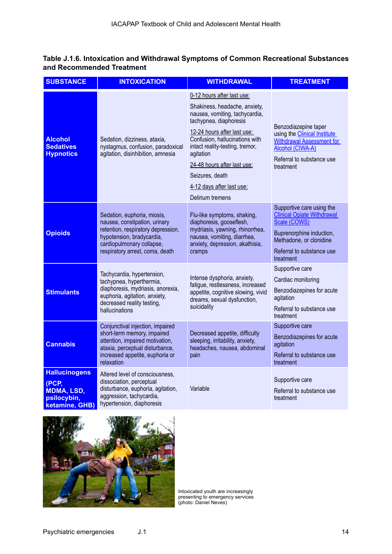### **Table J.1.6. Intoxication and Withdrawal Symptoms of Common Recreational Substances and Recommended Treatment**

| <b>SUBSTANCE</b>                                                                    | <b>INTOXICATION</b>                                                                                                                                                                                                                                                                                                                 | <b>WITHDRAWAL</b>                                                                                                                                                                                                                                                                                                                           | <b>TREATMENT</b>                                                                                                                                                                |
|-------------------------------------------------------------------------------------|-------------------------------------------------------------------------------------------------------------------------------------------------------------------------------------------------------------------------------------------------------------------------------------------------------------------------------------|---------------------------------------------------------------------------------------------------------------------------------------------------------------------------------------------------------------------------------------------------------------------------------------------------------------------------------------------|---------------------------------------------------------------------------------------------------------------------------------------------------------------------------------|
| <b>Alcohol</b><br><b>Sedatives</b><br><b>Hypnotics</b>                              | Sedation, dizziness, ataxia,<br>nystagmus, confusion, paradoxical<br>agitation, disinhibition, amnesia                                                                                                                                                                                                                              | 0-12 hours after last use:<br>Shakiness, headache, anxiety,<br>nausea, vomiting, tachycardia,<br>tachypnea, diaphoresis<br>12-24 hours after last use:<br>Confusion, hallucinations with<br>intact reality-testing, tremor,<br>agitation<br>24-48 hours after last use:<br>Seizures, death<br>4-12 days after last use:<br>Delirium tremens | Benzodiazepine taper<br>using the <b>Clinical Institute</b><br><b>Withdrawal Assessment for</b><br>Alcohol (CIWA-A)<br>Referral to substance use<br>treatment                   |
| <b>Opioids</b>                                                                      | Sedation, euphoria, miosis,<br>nausea, constipation, urinary<br>retention, respiratory depression,<br>hypotension, bradycardia,<br>cardiopulmonary collapse,<br>respiratory arrest, coma, death                                                                                                                                     | Flu-like symptoms, shaking,<br>diaphoresis, gooseflesh,<br>mydriasis, yawning, rhinorrhea,<br>nausea, vomiting, diarrhea,<br>anxiety, depression, akathisia,<br>cramps                                                                                                                                                                      | Supportive care using the<br><b>Clinical Opiate Withdrawal</b><br>Scale (COWS)<br>Buprenorphine induction,<br>Methadone, or clonidine<br>Referral to substance use<br>treatment |
| <b>Stimulants</b>                                                                   | Tachycardia, hypertension,<br>Intense dysphoria, anxiety,<br>tachypnea, hyperthermia,<br>fatigue, restlessness, increased<br>diaphoresis, mydriasis, anorexia,<br>appetite, cognitive slowing, vivid<br>euphoria, agitation, anxiety,<br>dreams, sexual dysfunction,<br>decreased reality testing,<br>suicidality<br>hallucinations |                                                                                                                                                                                                                                                                                                                                             | Supportive care<br>Cardiac monitoring<br>Benzodiazepines for acute<br>agitation<br>Referral to substance use<br>treatment                                                       |
| <b>Cannabis</b>                                                                     | Conjunctival injection, impaired<br>short-term memory, impaired<br>attention, impaired motivation,<br>ataxia, perceptual disturbance,<br>increased appetite, euphoria or<br>relaxation                                                                                                                                              | Decreased appetite, difficulty<br>sleeping, irritability, anxiety,<br>headaches, nausea, abdominal<br>pain                                                                                                                                                                                                                                  | Supportive care<br>Benzodiazepines for acute<br>agitation<br>Referral to substance use<br>treatment                                                                             |
| <b>Hallucinogens</b><br>(PCP,<br><b>MDMA, LSD,</b><br>psilocybin,<br>ketamine, GHB) | Altered level of consciousness,<br>dissociation, perceptual<br>disturbance, euphoria, agitation,<br>aggression, tachycardia,<br>hypertension, diaphoresis                                                                                                                                                                           | Variable                                                                                                                                                                                                                                                                                                                                    | Supportive care<br>Referral to substance use<br>treatment                                                                                                                       |



Intoxicated youth are increasingly presenting to emergency services (photo: Daniel Neves)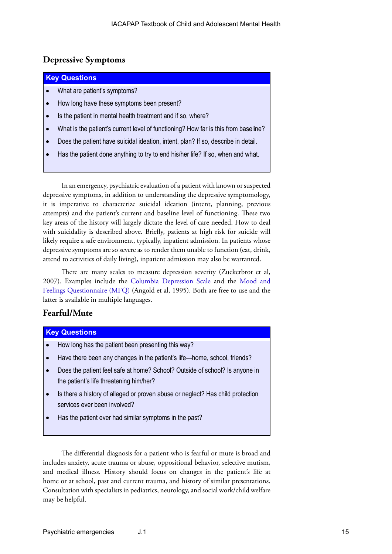### **Depressive Symptoms**

### **Key Questions**

- What are patient's symptoms?
- How long have these symptoms been present?
- Is the patient in mental health treatment and if so, where?
- What is the patient's current level of functioning? How far is this from baseline?
- Does the patient have suicidal ideation, intent, plan? If so, describe in detail.
- Has the patient done anything to try to end his/her life? If so, when and what.

In an emergency, psychiatric evaluation of a patient with known or suspected depressive symptoms, in addition to understanding the depressive symptomology, it is imperative to characterize suicidal ideation (intent, planning, previous attempts) and the patient's current and baseline level of functioning. These two key areas of the history will largely dictate the level of care needed. How to deal with suicidality is described above. Briefly, patients at high risk for suicide will likely require a safe environment, typically, inpatient admission. In patients whose depressive symptoms are so severe as to render them unable to function (eat, drink, attend to activities of daily living), inpatient admission may also be warranted.

There are many scales to measure depression severity (Zuckerbrot et al, 2007). Examples include the [Columbia Depression Scale](https://projectteachny.org/wp-content/uploads/2017/09/columbia_depression_scale_teen_parent.pdf) and the [Mood and](https://devepi.duhs.duke.edu/measures/the-mood-and-feelings-questionnaire-mfq/)  [Feelings Questionnaire \(MFQ\)](https://devepi.duhs.duke.edu/measures/the-mood-and-feelings-questionnaire-mfq/) (Angold et al, 1995). Both are free to use and the latter is available in multiple languages.

### **Fearful/Mute**

### **Key Questions**

- How long has the patient been presenting this way?
- Have there been any changes in the patient's life—home, school, friends?
- Does the patient feel safe at home? School? Outside of school? Is anyone in the patient's life threatening him/her?
- Is there a history of alleged or proven abuse or neglect? Has child protection services ever been involved?
- Has the patient ever had similar symptoms in the past?

The differential diagnosis for a patient who is fearful or mute is broad and includes anxiety, acute trauma or abuse, oppositional behavior, selective mutism, and medical illness. History should focus on changes in the patient's life at home or at school, past and current trauma, and history of similar presentations. Consultation with specialists in pediatrics, neurology, and social work/child welfare may be helpful.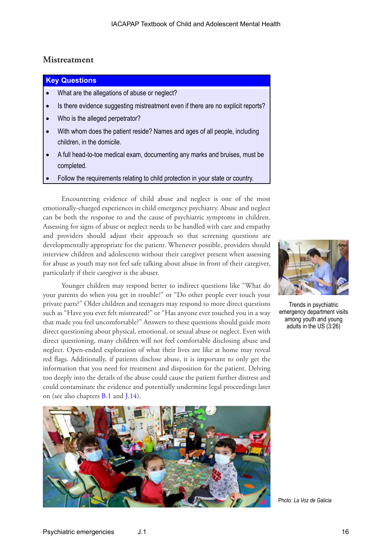### **Mistreatment**

#### **Key Questions**

- What are the allegations of abuse or neglect?
- Is there evidence suggesting mistreatment even if there are no explicit reports?
- Who is the alleged perpetrator?
- With whom does the patient reside? Names and ages of all people, including children, in the domicile.
- A full head-to-toe medical exam, documenting any marks and bruises, must be completed.
- Follow the requirements relating to child protection in your state or country.

Encountering evidence of child abuse and neglect is one of the most emotionally-charged experiences in child emergency psychiatry. Abuse and neglect can be both the response to and the cause of psychiatric symptoms in children. Assessing for signs of abuse or neglect needs to be handled with care and empathy and providers should adjust their approach so that screening questions are developmentally appropriate for the patient. Whenever possible, providers should interview children and adolescents without their caregiver present when assessing for abuse as youth may not feel safe talking about abuse in front of their caregiver, particularly if their caregiver is the abuser.

Younger children may respond better to indirect questions like "What do your parents do when you get in trouble?" or "Do other people ever touch your private parts?" Older children and teenagers may respond to more direct questions such as "Have you ever felt mistreated?" or "Has anyone ever touched you in a way that made you feel uncomfortable?" Answers to these questions should guide more direct questioning about physical, emotional, or sexual abuse or neglect. Even with direct questioning, many children will not feel comfortable disclosing abuse and neglect. Open-ended exploration of what their lives are like at home may reveal red flags. Additionally, if patients disclose abuse, it is important to only get the information that you need for treatment and disposition for the patient. Delving too deeply into the details of the abuse could cause the patient further distress and could contaminate the evidence and potentially undermine legal proceedings later on (see also chapters [B.1](https://iacapap.org/content/uploads/B.1-CHILD-MALTREATMENT-0720121.pdf) and [J.14\)](https://iacapap.org/content/uploads/J.14-CHILD-PROTECTION-2020.pdf).





Trends in psychiatric emergency department visits among youth and young adults in the US (3:26)

Photo: *La Voz de Galicia*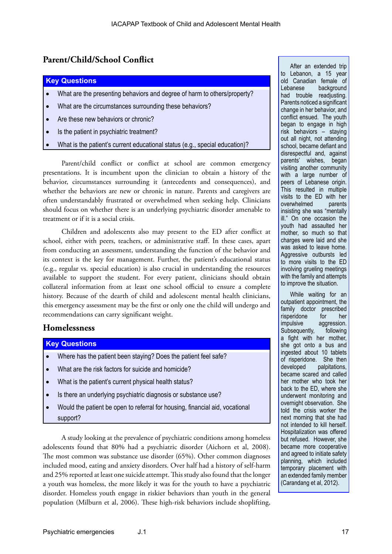### **Parent/Child/School Conflict**

#### **Key Questions**

- What are the presenting behaviors and degree of harm to others/property?
- What are the circumstances surrounding these behaviors?
- Are these new behaviors or chronic?
- Is the patient in psychiatric treatment?
- What is the patient's current educational status (e.g., special education)?

Parent/child conflict or conflict at school are common emergency presentations. It is incumbent upon the clinician to obtain a history of the behavior, circumstances surrounding it (antecedents and consequences), and whether the behaviors are new or chronic in nature. Parents and caregivers are often understandably frustrated or overwhelmed when seeking help. Clinicians should focus on whether there is an underlying psychiatric disorder amenable to treatment or if it is a social crisis.

Children and adolescents also may present to the ED after conflict at school, either with peers, teachers, or administrative staff. In these cases, apart from conducting an assessment, understanding the function of the behavior and its context is the key for management. Further, the patient's educational status (e.g., regular vs. special education) is also crucial in understanding the resources available to support the student. For every patient, clinicians should obtain collateral information from at least one school official to ensure a complete history. Because of the dearth of child and adolescent mental health clinicians, this emergency assessment may be the first or only one the child will undergo and recommendations can carry significant weight.

### **Homelessness**

#### **Key Questions**

- Where has the patient been staying? Does the patient feel safe?
- What are the risk factors for suicide and homicide?
- What is the patient's current physical health status?
- Is there an underlying psychiatric diagnosis or substance use?
- Would the patient be open to referral for housing, financial aid, vocational support?

A study looking at the prevalence of psychiatric conditions among homeless adolescents found that 80% had a psychiatric disorder (Aichorn et al, 2008). The most common was substance use disorder (65%). Other common diagnoses included mood, eating and anxiety disorders. Over half had a history of self-harm and 25% reported at least one suicide attempt. This study also found that the longer a youth was homeless, the more likely it was for the youth to have a psychiatric disorder. Homeless youth engage in riskier behaviors than youth in the general population (Milburn et al, 2006). These high-risk behaviors include shoplifting,

After an extended trip to Lebanon, a 15 year old Canadian female of Lebanese background had trouble readjusting. Parents noticed a significant change in her behavior, and conflict ensued. The youth began to engage in high risk behaviors – staying out all night, not attending school, became defiant and disrespectful and, against parents' wishes, began visiting another community with a large number of peers of Lebanese origin. This resulted in multiple visits to the ED with her<br>overwhelmed parents overwhelmed insisting she was "mentally ill." On one occasion the youth had assaulted her mother, so much so that charges were laid and she was asked to leave home. Aggressive outbursts led to more visits to the ED involving grueling meetings with the family and attempts to improve the situation.

While waiting for an outpatient appointment, the family doctor prescribed risperidone for her impulsive aggression. Subsequently, following a fight with her mother, she got onto a bus and ingested about 10 tablets of risperidone. She then developed palpitations, became scared and called her mother who took her back to the ED, where she underwent monitoring and overnight observation. She told the crisis worker the next morning that she had not intended to kill herself. Hospitalization was offered but refused. However, she became more cooperative and agreed to initiate safety planning, which included temporary placement with an extended family member (Carandang et al, 2012).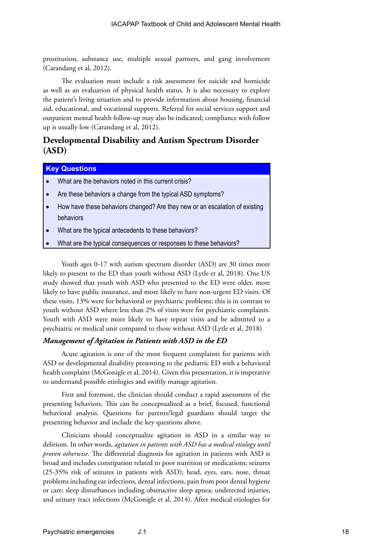prostitution, substance use, multiple sexual partners, and gang involvement (Carandang et al, 2012).

The evaluation must include a risk assessment for suicide and homicide as well as an evaluation of physical health status. It is also necessary to explore the patient's living situation and to provide information about housing, financial aid, educational, and vocational supports. Referral for social services support and outpatient mental health follow-up may also be indicated; compliance with follow up is usually low (Carandang et al, 2012).

### **Developmental Disability and Autism Spectrum Disorder (ASD)**

### **Key Questions**

- What are the behaviors noted in this current crisis?
- Are these behaviors a change from the typical ASD symptoms?
- How have these behaviors changed? Are they new or an escalation of existing behaviors
- What are the typical antecedents to these behaviors?
- What are the typical consequences or responses to these behaviors?

Youth ages 0-17 with autism spectrum disorder (ASD) are 30 times more likely to present to the ED than youth without ASD (Lytle et al, 2018). One US study showed that youth with ASD who presented to the ED were older, more likely to have public insurance, and more likely to have non-urgent ED visits. Of these visits, 13% were for behavioral or psychiatric problems; this is in contrast to youth without ASD where less than 2% of visits were for psychiatric complaints. Youth with ASD were more likely to have repeat visits and be admitted to a psychiatric or medical unit compared to those without ASD (Lytle et al, 2018)

#### *Management of Agitation in Patients with ASD in the ED*

Acute agitation is one of the most frequent complaints for patients with ASD or developmental disability presenting to the pediatric ED with a behavioral health complaint (McGonigle et al, 2014). Given this presentation, it is imperative to understand possible etiologies and swiftly manage agitation.

First and foremost, the clinician should conduct a rapid assessment of the presenting behaviors. This can be conceptualized as a brief, focused, functional behavioral analysis. Questions for parents/legal guardians should target the presenting behavior and include the key questions above.

Clinicians should conceptualize agitation in ASD in a similar way to delirium. In other words, *agitation in patients with ASD has a medical etiology until proven otherwise*. The differential diagnosis for agitation in patients with ASD is broad and includes constipation related to poor nutrition or medications; seizures (25-35% risk of seizures in patients with ASD); head, eyes, ears, nose, throat problems including ear infections, dental infections, pain from poor dental hygiene or care; sleep disturbances including obstructive sleep apnea; undetected injuries; and urinary tract infections (McGonigle et al, 2014). After medical etiologies for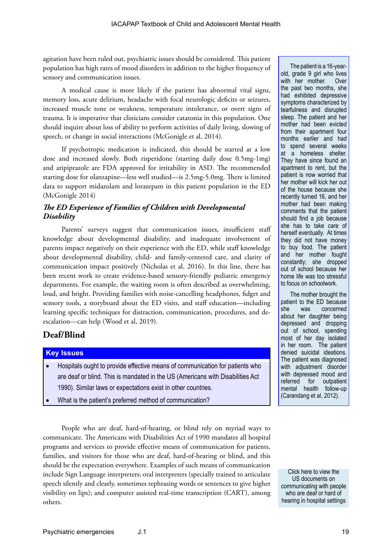agitation have been ruled out, psychiatric issues should be considered. This patient population has high rates of mood disorders in addition to the higher frequency of sensory and communication issues.

A medical cause is more likely if the patient has abnormal vital signs, memory loss, acute delirium, headache with focal neurologic deficits or seizures, increased muscle tone or weakness, temperature intolerance, or overt signs of trauma. It is imperative that clinicians consider catatonia in this population. One should inquire about loss of ability to perform activities of daily living, slowing of speech, or change in social interactions (McGonigle et al, 2014).

If psychotropic medication is indicated, this should be started at a low dose and increased slowly. Both risperidone (starting daily dose 0.5mg-1mg) and aripiprazole are FDA approved for irritability in ASD. The recommended starting dose for olanzapine—less well studied—is 2.5mg-5.0mg. There is limited data to support midazolam and lorazepam in this patient population in the ED (McGonigle 2014)

### *The ED Experience of Families of Children with Developmental Disability*

Parents' surveys suggest that communication issues, insufficient staff knowledge about developmental disability, and inadequate involvement of parents impact negatively on their experience with the ED, while staff knowledge about developmental disability, child- and family-centered care, and clarity of communication impact positively (Nicholas et al, 2016). In this line, there has been recent work to create evidence-based sensory-friendly pediatric emergency departments. For example, the waiting room is often described as overwhelming, loud, and bright. Providing families with noise-cancelling headphones, fidget and sensory tools, a storyboard about the ED visits, and staff education—including learning specific techniques for distraction, communication, procedures, and deescalation—can help (Wood et al, 2019).

### **Deaf/Blind**

#### **Key Issues**

- Hospitals ought to provide effective means of communication for patients who are deaf or blind. This is mandated in the US (Americans with Disabilities Act 1990). Similar laws or expectations exist in other countries.
- What is the patient's preferred method of communication?

People who are deaf, hard-of-hearing, or blind rely on myriad ways to communicate. The Americans with Disabilities Act of 1990 mandates all hospital programs and services to provide effective means of communication for patients, families, and visitors for those who are deaf, hard-of-hearing or blind, and this should be the expectation everywhere. Examples of such means of communication include Sign Language interpreters; oral interpreters (specially trained to articulate speech silently and clearly, sometimes rephrasing words or sentences to give higher visibility on lips); and computer assisted real-time transcription (CART), among others.

The patient is a 16-yearold, grade 9 girl who lives with her mother. Over the past two months, she had exhibited depressive symptoms characterized by tearfulness and disrupted sleep. The patient and her mother had been evicted from their apartment four months earlier and had to spend several weeks at a homeless shelter. They have since found an apartment to rent, but the patient is now worried that her mother will kick her out of the house because she recently turned 16, and her mother had been making comments that the patient should find a job because she has to take care of herself eventually. At times they did not have money to buy food. The patient and her mother fought constantly; she dropped out of school because her home life was too stressful to focus on schoolwork.

The mother brought the patient to the ED because she was concerned about her daughter being depressed and dropping out of school, spending most of her day isolated in her room. The patient denied suicidal ideations. The patient was diagnosed with adjustment disorder with depressed mood and referred for outpatient mental health follow-up (Carandang et al, 2012).

Click here to view the US documents on [communicating with people](https://www.ada.gov/hospcombrprt.pdf)  who are deaf or hard of hearing in hospital settings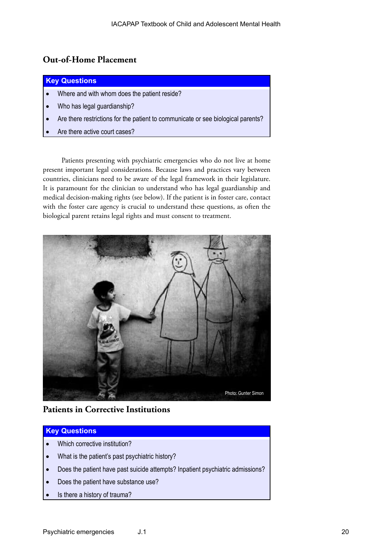### **Out-of-Home Placement**

#### **Key Questions**

- Where and with whom does the patient reside?
- Who has legal guardianship?
- Are there restrictions for the patient to communicate or see biological parents?
- Are there active court cases?

Patients presenting with psychiatric emergencies who do not live at home present important legal considerations. Because laws and practices vary between countries, clinicians need to be aware of the legal framework in their legislature. It is paramount for the clinician to understand who has legal guardianship and medical decision-making rights (see below). If the patient is in foster care, contact with the foster care agency is crucial to understand these questions, as often the biological parent retains legal rights and must consent to treatment.



### **Patients in Corrective Institutions**

### **Key Questions**

- Which corrective institution?
- What is the patient's past psychiatric history?
- Does the patient have past suicide attempts? Inpatient psychiatric admissions?
- Does the patient have substance use?
- Is there a history of trauma?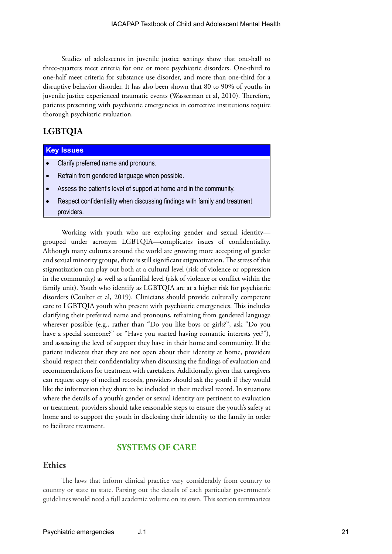Studies of adolescents in juvenile justice settings show that one-half to three-quarters meet criteria for one or more psychiatric disorders. One-third to one-half meet criteria for substance use disorder, and more than one-third for a disruptive behavior disorder. It has also been shown that 80 to 90% of youths in juvenile justice experienced traumatic events (Wasserman et al, 2010). Therefore, patients presenting with psychiatric emergencies in corrective institutions require thorough psychiatric evaluation.

### **LGBTQIA**

#### **Key Issues**

- Clarify preferred name and pronouns.
- Refrain from gendered language when possible.
- Assess the patient's level of support at home and in the community.
- Respect confidentiality when discussing findings with family and treatment providers.

Working with youth who are exploring gender and sexual identity grouped under acronym LGBTQIA—complicates issues of confidentiality. Although many cultures around the world are growing more accepting of gender and sexual minority groups, there is still significant stigmatization. The stress of this stigmatization can play out both at a cultural level (risk of violence or oppression in the community) as well as a familial level (risk of violence or conflict within the family unit). Youth who identify as LGBTQIA are at a higher risk for psychiatric disorders (Coulter et al, 2019). Clinicians should provide culturally competent care to LGBTQIA youth who present with psychiatric emergencies. This includes clarifying their preferred name and pronouns, refraining from gendered language wherever possible (e.g., rather than "Do you like boys or girls?", ask "Do you have a special someone?" or "Have you started having romantic interests yet?"), and assessing the level of support they have in their home and community. If the patient indicates that they are not open about their identity at home, providers should respect their confidentiality when discussing the findings of evaluation and recommendations for treatment with caretakers. Additionally, given that caregivers can request copy of medical records, providers should ask the youth if they would like the information they share to be included in their medical record. In situations where the details of a youth's gender or sexual identity are pertinent to evaluation or treatment, providers should take reasonable steps to ensure the youth's safety at home and to support the youth in disclosing their identity to the family in order to facilitate treatment.

### **SYSTEMS OF CARE**

### **Ethics**

The laws that inform clinical practice vary considerably from country to country or state to state. Parsing out the details of each particular government's guidelines would need a full academic volume on its own. This section summarizes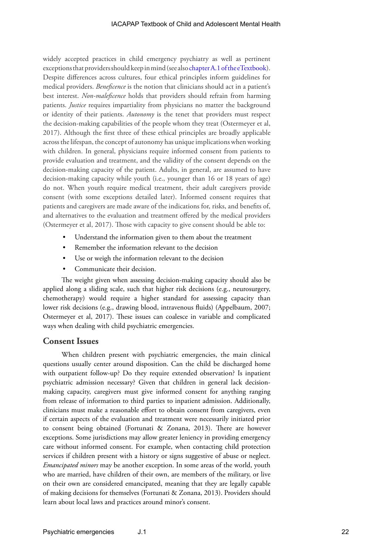widely accepted practices in child emergency psychiatry as well as pertinent exceptions that providers should keep in mind (see also [chapter A.1 of the eTextbook\)](https://iacapap.org/content/uploads/A.1-ETHICS-072012.pdf). Despite differences across cultures, four ethical principles inform guidelines for medical providers. *Beneficence* is the notion that clinicians should act in a patient's best interest. *Non-maleficence* holds that providers should refrain from harming patients. *Justice* requires impartiality from physicians no matter the background or identity of their patients. *Autonomy* is the tenet that providers must respect the decision-making capabilities of the people whom they treat (Ostermeyer et al, 2017). Although the first three of these ethical principles are broadly applicable across the lifespan, the concept of autonomy has unique implications when working with children. In general, physicians require informed consent from patients to provide evaluation and treatment, and the validity of the consent depends on the decision-making capacity of the patient. Adults, in general, are assumed to have decision-making capacity while youth (i.e., younger than 16 or 18 years of age) do not. When youth require medical treatment, their adult caregivers provide consent (with some exceptions detailed later). Informed consent requires that patients and caregivers are made aware of the indications for, risks, and benefits of, and alternatives to the evaluation and treatment offered by the medical providers (Ostermeyer et al, 2017). Those with capacity to give consent should be able to:

- Understand the information given to them about the treatment
- Remember the information relevant to the decision
- Use or weigh the information relevant to the decision
- Communicate their decision.

The weight given when assessing decision-making capacity should also be applied along a sliding scale, such that higher risk decisions (e.g., neurosurgery, chemotherapy) would require a higher standard for assessing capacity than lower risk decisions (e.g., drawing blood, intravenous fluids) (Appelbaum, 2007; Ostermeyer et al, 2017). These issues can coalesce in variable and complicated ways when dealing with child psychiatric emergencies.

### **Consent Issues**

When children present with psychiatric emergencies, the main clinical questions usually center around disposition. Can the child be discharged home with outpatient follow-up? Do they require extended observation? Is inpatient psychiatric admission necessary? Given that children in general lack decisionmaking capacity, caregivers must give informed consent for anything ranging from release of information to third parties to inpatient admission. Additionally, clinicians must make a reasonable effort to obtain consent from caregivers, even if certain aspects of the evaluation and treatment were necessarily initiated prior to consent being obtained (Fortunati & Zonana, 2013). There are however exceptions. Some jurisdictions may allow greater leniency in providing emergency care without informed consent. For example, when contacting child protection services if children present with a history or signs suggestive of abuse or neglect. *Emancipated minors* may be another exception. In some areas of the world, youth who are married, have children of their own, are members of the military, or live on their own are considered emancipated, meaning that they are legally capable of making decisions for themselves (Fortunati & Zonana, 2013). Providers should learn about local laws and practices around minor's consent.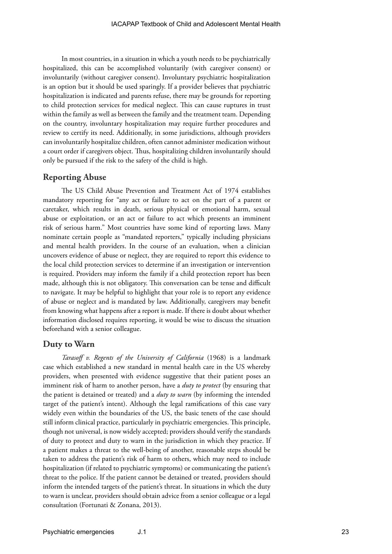In most countries, in a situation in which a youth needs to be psychiatrically hospitalized, this can be accomplished voluntarily (with caregiver consent) or involuntarily (without caregiver consent). Involuntary psychiatric hospitalization is an option but it should be used sparingly. If a provider believes that psychiatric hospitalization is indicated and parents refuse, there may be grounds for reporting to child protection services for medical neglect. This can cause ruptures in trust within the family as well as between the family and the treatment team. Depending on the country, involuntary hospitalization may require further procedures and review to certify its need. Additionally, in some jurisdictions, although providers can involuntarily hospitalize children, often cannot administer medication without a court order if caregivers object. Thus, hospitalizing children involuntarily should only be pursued if the risk to the safety of the child is high.

#### **Reporting Abuse**

The US Child Abuse Prevention and Treatment Act of 1974 establishes mandatory reporting for "any act or failure to act on the part of a parent or caretaker, which results in death, serious physical or emotional harm, sexual abuse or exploitation, or an act or failure to act which presents an imminent risk of serious harm." Most countries have some kind of reporting laws. Many nominate certain people as "mandated reporters," typically including physicians and mental health providers. In the course of an evaluation, when a clinician uncovers evidence of abuse or neglect, they are required to report this evidence to the local child protection services to determine if an investigation or intervention is required. Providers may inform the family if a child protection report has been made, although this is not obligatory. This conversation can be tense and difficult to navigate. It may be helpful to highlight that your role is to report any evidence of abuse or neglect and is mandated by law. Additionally, caregivers may benefit from knowing what happens after a report is made. If there is doubt about whether information disclosed requires reporting, it would be wise to discuss the situation beforehand with a senior colleague.

### **Duty to Warn**

*Tarasoff v. Regents of the University of California* (1968) is a landmark case which established a new standard in mental health care in the US whereby providers, when presented with evidence suggestive that their patient poses an imminent risk of harm to another person, have a *duty to protect* (by ensuring that the patient is detained or treated) and a *duty to warn* (by informing the intended target of the patient's intent). Although the legal ramifications of this case vary widely even within the boundaries of the US, the basic tenets of the case should still inform clinical practice, particularly in psychiatric emergencies. This principle, though not universal, is now widely accepted; providers should verify the standards of duty to protect and duty to warn in the jurisdiction in which they practice. If a patient makes a threat to the well-being of another, reasonable steps should be taken to address the patient's risk of harm to others, which may need to include hospitalization (if related to psychiatric symptoms) or communicating the patient's threat to the police. If the patient cannot be detained or treated, providers should inform the intended targets of the patient's threat. In situations in which the duty to warn is unclear, providers should obtain advice from a senior colleague or a legal consultation (Fortunati & Zonana, 2013).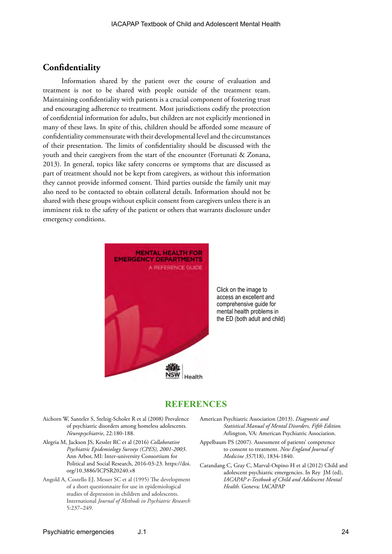### **Confidentiality**

Information shared by the patient over the course of evaluation and treatment is not to be shared with people outside of the treatment team. Maintaining confidentiality with patients is a crucial component of fostering trust and encouraging adherence to treatment. Most jurisdictions codify the protection of confidential information for adults, but children are not explicitly mentioned in many of these laws. In spite of this, children should be afforded some measure of confidentiality commensurate with their developmental level and the circumstances of their presentation. The limits of confidentiality should be discussed with the youth and their caregivers from the start of the encounter (Fortunati & Zonana, 2013). In general, topics like safety concerns or symptoms that are discussed as part of treatment should not be kept from caregivers, as without this information they cannot provide informed consent. Third parties outside the family unit may also need to be contacted to obtain collateral details. Information should not be shared with these groups without explicit consent from caregivers unless there is an imminent risk to the safety of the patient or others that warrants disclosure under emergency conditions.



Click on the image to access an excellent and comprehensive guide for mental health problems in the ED (both adult and child)

### **REFERENCES**

- Aichorn W, Santeler S, Stelzig-Scholer R et al (2008) Prevalence of psychiatric disorders among homeless adolescents. *Neuropsychiatrie*, 22:180-188.
- Alegria M, Jackson JS, Kessler RC et al (2016) *Collaborative Psychiatric Epidemiology Surveys (CPES), 2001-2003*. Ann Arbor, MI: Inter-university Consortium for Political and Social Research, 2016-03-23. [https://doi.](https://doi.org/10.3886/ICPSR20240.v8) [org/10.3886/ICPSR20240.v8](https://doi.org/10.3886/ICPSR20240.v8)
- Angold A, Costello EJ, Messer SC et al (1995) The development of a short questionnaire for use in epidemiological studies of depression in children and adolescents. International *Journal of Methods in Psychiatric Research* 5:237–249.
- American Psychiatric Association (2013). *Diagnostic and Statistical Manual of Mental Disorders, Fifth Edition.* Arlington, VA: American Psychiatric Association.
- Appelbaum PS (2007). Assessment of patients' competence to consent to treatment. *New England Journal of Medicine 357*(18), 1834-1840.
- Carandang C, Gray C, Marval-Ospino H et al (2012) Child and adolescent psychiatric emergencies. In Rey JM (ed), *IACAPAP e-Textbook of Child and Adolescent Mental Health.* Geneva: IACAPAP